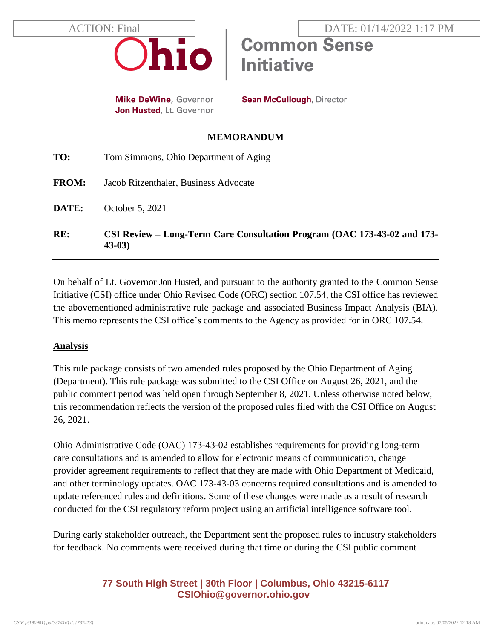

**Mike DeWine, Governor** Jon Husted, Lt. Governor **Sean McCullough, Director** 

**Initiative** 

#### **MEMORANDUM**

| RE:          | CSI Review – Long-Term Care Consultation Program (OAC 173-43-02 and 173-<br>$43-03$ |
|--------------|-------------------------------------------------------------------------------------|
| DATE:        | October 5, 2021                                                                     |
| <b>FROM:</b> | Jacob Ritzenthaler, Business Advocate                                               |
| TO:          | Tom Simmons, Ohio Department of Aging                                               |

On behalf of Lt. Governor Jon Husted, and pursuant to the authority granted to the Common Sense Initiative (CSI) office under Ohio Revised Code (ORC) section 107.54, the CSI office has reviewed the abovementioned administrative rule package and associated Business Impact Analysis (BIA). This memo represents the CSI office's comments to the Agency as provided for in ORC 107.54.

### **Analysis**

This rule package consists of two amended rules proposed by the Ohio Department of Aging (Department). This rule package was submitted to the CSI Office on August 26, 2021, and the public comment period was held open through September 8, 2021. Unless otherwise noted below, this recommendation reflects the version of the proposed rules filed with the CSI Office on August 26, 2021.

Ohio Administrative Code (OAC) 173-43-02 establishes requirements for providing long-term care consultations and is amended to allow for electronic means of communication, change provider agreement requirements to reflect that they are made with Ohio Department of Medicaid, and other terminology updates. OAC 173-43-03 concerns required consultations and is amended to update referenced rules and definitions. Some of these changes were made as a result of research conducted for the CSI regulatory reform project using an artificial intelligence software tool.

During early stakeholder outreach, the Department sent the proposed rules to industry stakeholders for feedback. No comments were received during that time or during the CSI public comment

# **77 South High Street | 30th Floor | Columbus, Ohio 43215-6117 [CSIOhio@governor.ohio.gov](mailto:CSIOhio@governor.ohio.gov)**